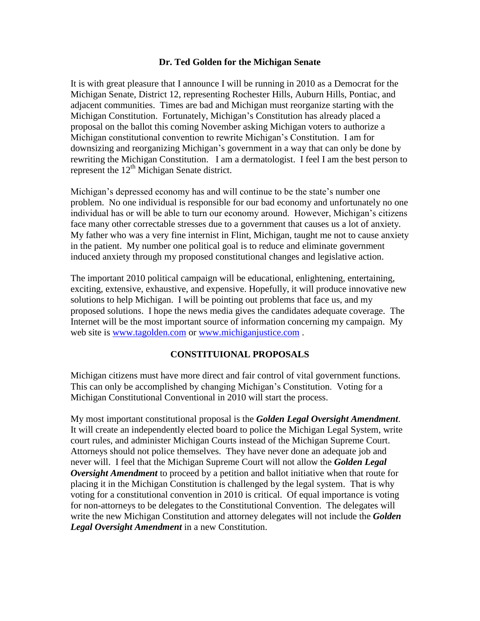## **Dr. Ted Golden for the Michigan Senate**

It is with great pleasure that I announce I will be running in 2010 as a Democrat for the Michigan Senate, District 12, representing Rochester Hills, Auburn Hills, Pontiac, and adjacent communities. Times are bad and Michigan must reorganize starting with the Michigan Constitution. Fortunately, Michigan's Constitution has already placed a proposal on the ballot this coming November asking Michigan voters to authorize a Michigan constitutional convention to rewrite Michigan's Constitution. I am for downsizing and reorganizing Michigan's government in a way that can only be done by rewriting the Michigan Constitution. I am a dermatologist. I feel I am the best person to represent the  $12<sup>th</sup>$  Michigan Senate district.

Michigan's depressed economy has and will continue to be the state's number one problem. No one individual is responsible for our bad economy and unfortunately no one individual has or will be able to turn our economy around. However, Michigan's citizens face many other correctable stresses due to a government that causes us a lot of anxiety. My father who was a very fine internist in Flint, Michigan, taught me not to cause anxiety in the patient. My number one political goal is to reduce and eliminate government induced anxiety through my proposed constitutional changes and legislative action.

The important 2010 political campaign will be educational, enlightening, entertaining, exciting, extensive, exhaustive, and expensive. Hopefully, it will produce innovative new solutions to help Michigan. I will be pointing out problems that face us, and my proposed solutions. I hope the news media gives the candidates adequate coverage. The Internet will be the most important source of information concerning my campaign. My web site is [www.tagolden.com](http://www.tagolden.com/) or [www.michiganjustice.com](http://www.michiganjustice.com/).

## **CONSTITUIONAL PROPOSALS**

Michigan citizens must have more direct and fair control of vital government functions. This can only be accomplished by changing Michigan's Constitution. Voting for a Michigan Constitutional Conventional in 2010 will start the process.

My most important constitutional proposal is the *Golden Legal Oversight Amendment*. It will create an independently elected board to police the Michigan Legal System, write court rules, and administer Michigan Courts instead of the Michigan Supreme Court. Attorneys should not police themselves. They have never done an adequate job and never will. I feel that the Michigan Supreme Court will not allow the *Golden Legal Oversight Amendment* to proceed by a petition and ballot initiative when that route for placing it in the Michigan Constitution is challenged by the legal system. That is why voting for a constitutional convention in 2010 is critical. Of equal importance is voting for non-attorneys to be delegates to the Constitutional Convention. The delegates will write the new Michigan Constitution and attorney delegates will not include the *Golden Legal Oversight Amendment* in a new Constitution.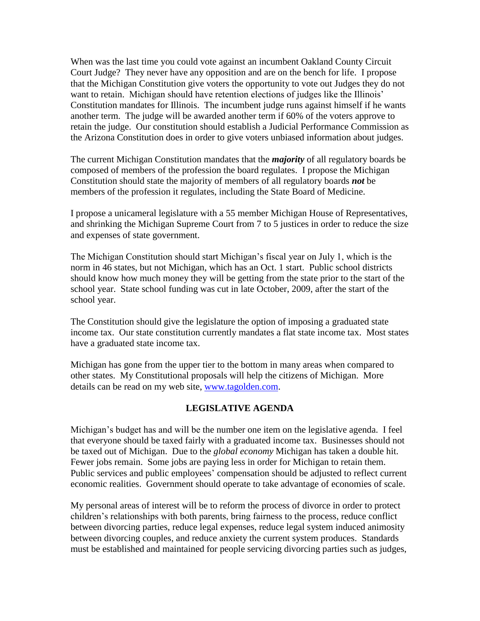When was the last time you could vote against an incumbent Oakland County Circuit Court Judge? They never have any opposition and are on the bench for life. I propose that the Michigan Constitution give voters the opportunity to vote out Judges they do not want to retain. Michigan should have retention elections of judges like the Illinois' Constitution mandates for Illinois. The incumbent judge runs against himself if he wants another term. The judge will be awarded another term if 60% of the voters approve to retain the judge. Our constitution should establish a Judicial Performance Commission as the Arizona Constitution does in order to give voters unbiased information about judges.

The current Michigan Constitution mandates that the *majority* of all regulatory boards be composed of members of the profession the board regulates. I propose the Michigan Constitution should state the majority of members of all regulatory boards *not* be members of the profession it regulates, including the State Board of Medicine.

I propose a unicameral legislature with a 55 member Michigan House of Representatives, and shrinking the Michigan Supreme Court from 7 to 5 justices in order to reduce the size and expenses of state government.

The Michigan Constitution should start Michigan's fiscal year on July 1, which is the norm in 46 states, but not Michigan, which has an Oct. 1 start. Public school districts should know how much money they will be getting from the state prior to the start of the school year. State school funding was cut in late October, 2009, after the start of the school year.

The Constitution should give the legislature the option of imposing a graduated state income tax. Our state constitution currently mandates a flat state income tax. Most states have a graduated state income tax.

Michigan has gone from the upper tier to the bottom in many areas when compared to other states. My Constitutional proposals will help the citizens of Michigan. More details can be read on my web site, [www.tagolden.com.](http://www.tagolden.com/)

## **LEGISLATIVE AGENDA**

Michigan's budget has and will be the number one item on the legislative agenda. I feel that everyone should be taxed fairly with a graduated income tax. Businesses should not be taxed out of Michigan. Due to the *global economy* Michigan has taken a double hit. Fewer jobs remain. Some jobs are paying less in order for Michigan to retain them. Public services and public employees' compensation should be adjusted to reflect current economic realities. Government should operate to take advantage of economies of scale.

My personal areas of interest will be to reform the process of divorce in order to protect children's relationships with both parents, bring fairness to the process, reduce conflict between divorcing parties, reduce legal expenses, reduce legal system induced animosity between divorcing couples, and reduce anxiety the current system produces. Standards must be established and maintained for people servicing divorcing parties such as judges,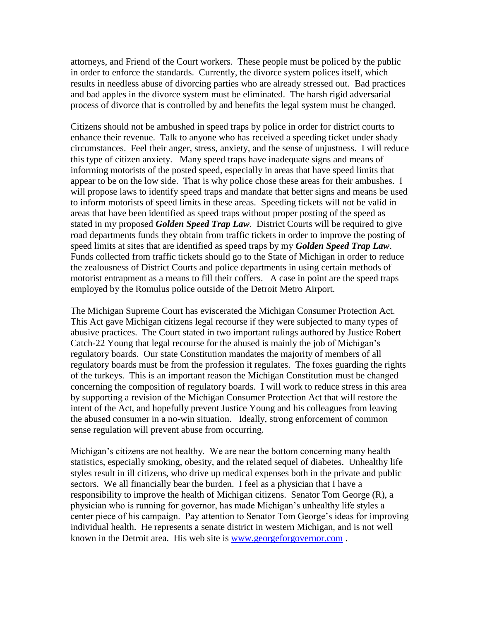attorneys, and Friend of the Court workers. These people must be policed by the public in order to enforce the standards. Currently, the divorce system polices itself, which results in needless abuse of divorcing parties who are already stressed out. Bad practices and bad apples in the divorce system must be eliminated. The harsh rigid adversarial process of divorce that is controlled by and benefits the legal system must be changed.

Citizens should not be ambushed in speed traps by police in order for district courts to enhance their revenue. Talk to anyone who has received a speeding ticket under shady circumstances. Feel their anger, stress, anxiety, and the sense of unjustness. I will reduce this type of citizen anxiety. Many speed traps have inadequate signs and means of informing motorists of the posted speed, especially in areas that have speed limits that appear to be on the low side. That is why police chose these areas for their ambushes. I will propose laws to identify speed traps and mandate that better signs and means be used to inform motorists of speed limits in these areas. Speeding tickets will not be valid in areas that have been identified as speed traps without proper posting of the speed as stated in my proposed *Golden Speed Trap Law*. District Courts will be required to give road departments funds they obtain from traffic tickets in order to improve the posting of speed limits at sites that are identified as speed traps by my *Golden Speed Trap Law*. Funds collected from traffic tickets should go to the State of Michigan in order to reduce the zealousness of District Courts and police departments in using certain methods of motorist entrapment as a means to fill their coffers. A case in point are the speed traps employed by the Romulus police outside of the Detroit Metro Airport.

The Michigan Supreme Court has eviscerated the Michigan Consumer Protection Act. This Act gave Michigan citizens legal recourse if they were subjected to many types of abusive practices. The Court stated in two important rulings authored by Justice Robert Catch-22 Young that legal recourse for the abused is mainly the job of Michigan's regulatory boards. Our state Constitution mandates the majority of members of all regulatory boards must be from the profession it regulates. The foxes guarding the rights of the turkeys. This is an important reason the Michigan Constitution must be changed concerning the composition of regulatory boards. I will work to reduce stress in this area by supporting a revision of the Michigan Consumer Protection Act that will restore the intent of the Act, and hopefully prevent Justice Young and his colleagues from leaving the abused consumer in a no-win situation. Ideally, strong enforcement of common sense regulation will prevent abuse from occurring.

Michigan's citizens are not healthy. We are near the bottom concerning many health statistics, especially smoking, obesity, and the related sequel of diabetes. Unhealthy life styles result in ill citizens, who drive up medical expenses both in the private and public sectors. We all financially bear the burden. I feel as a physician that I have a responsibility to improve the health of Michigan citizens. Senator Tom George (R), a physician who is running for governor, has made Michigan's unhealthy life styles a center piece of his campaign. Pay attention to Senator Tom George's ideas for improving individual health. He represents a senate district in western Michigan, and is not well known in the Detroit area. His web site is [www.georgeforgovernor.com](http://www.georgeforgovernor.com/) .